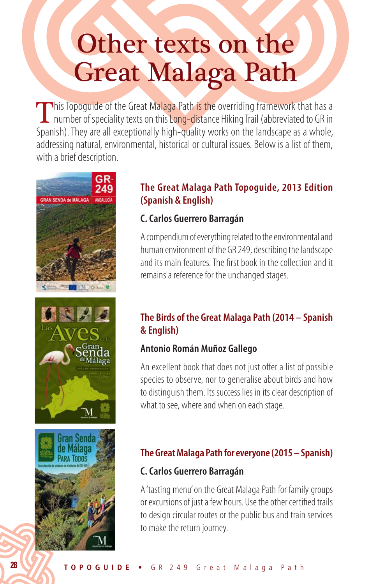# Other texts on the Great Malaga Path

This Topoguide of the Great Malaga Path is the overriding framework that has a number of speciality texts on this Long-distance Hiking Trail (abbreviated to GR in Spanish). They are all exceptionally high-quality works on the landscape as a whole, addressing natural, environmental, historical or cultural issues. Below is a list of them, with a brief description.







#### **The Great Malaga Path Topoguide, 2013 Edition (Spanish & English)**

## **C. Carlos Guerrero Barragán**

A compendium of everything related to the environmental and human environment of the GR 249, describing the landscape and its main features. The first book in the collection and it remains a reference for the unchanged stages.

# **The Birds of the Great Malaga Path (2014 – Spanish & English)**

## **Antonio Román Muñoz Gallego**

An excellent book that does not just offer a list of possible species to observe, nor to generalise about birds and how to distinguish them. Its success lies in its clear description of what to see, where and when on each stage.

# **The Great Malaga Path for everyone (2015 – Spanish)**

## **C. Carlos Guerrero Barragán**

A 'tasting menu' on the Great Malaga Path for family groups or excursions of just a few hours. Use the other certified trails to design circular routes or the public bus and train services to make the return journey.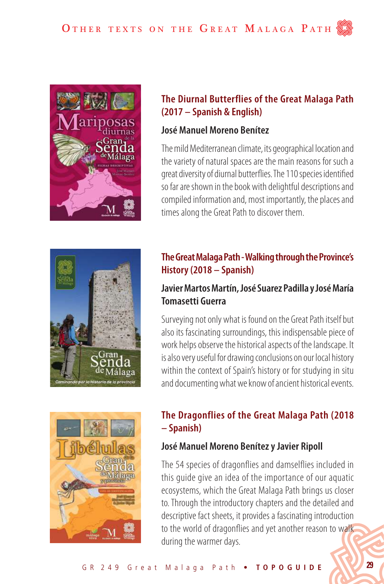

#### **The Diurnal Butterflies of the Great Malaga Path (2017 – Spanish & English)**

#### **José Manuel Moreno Benítez**

The mild Mediterranean climate, its geographical location and the variety of natural spaces are the main reasons for such a great diversity of diurnal butterflies. The 110 species identified so far are shown in the book with delightful descriptions and compiled information and, most importantly, the places and times along the Great Path to discover them.



# **The Great Malaga Path - Walking through the Province's History (2018 – Spanish)**

## **Javier Martos Martín, José Suarez Padilla y José María Tomasetti Guerra**

Surveying not only what is found on the Great Path itself but also its fascinating surroundings, this indispensable piece of work helps observe the historical aspects of the landscape. It is also very useful for drawing conclusions on our local history within the context of Spain's history or for studying in situ and documenting what we know of ancient historical events.



# **The Dragonflies of the Great Malaga Path (2018 – Spanish)**

## **José Manuel Moreno Benítez y Javier Ripoll**

The 54 species of dragonflies and damselflies included in this guide give an idea of the importance of our aquatic ecosystems, which the Great Malaga Path brings us closer to. Through the introductory chapters and the detailed and descriptive fact sheets, it provides a fascinating introduction to the world of dragonflies and yet another reason to walk during the warmer days.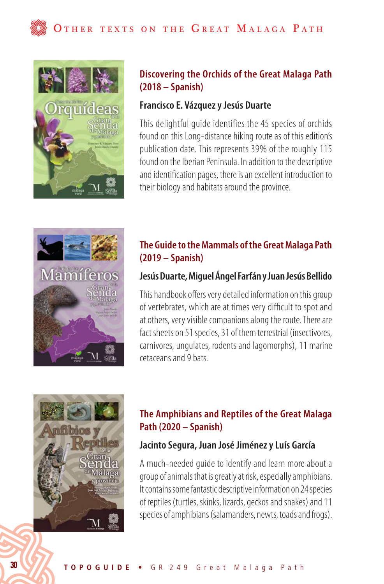

#### **Discovering the Orchids of the Great Malaga Path (2018 – Spanish)**

#### **Francisco E. Vázquez y Jesús Duarte**

This delightful guide identifies the 45 species of orchids found on this Long-distance hiking route as of this edition's publication date. This represents 39% of the roughly 115 found on the Iberian Peninsula. In addition to the descriptive and identification pages, there is an excellent introduction to their biology and habitats around the province.



## **The Guide to the Mammals of the Great Malaga Path (2019 – Spanish)**

#### **Jesús Duarte, Miguel Ángel Farfán y Juan Jesús Bellido**

This handbook offers very detailed information on this group of vertebrates, which are at times very difficult to spot and at others, very visible companions along the route. There are fact sheets on 51 species, 31 of them terrestrial (insectivores, carnivores, ungulates, rodents and lagomorphs), 11 marine cetaceans and 9 bats.



# **The Amphibians and Reptiles of the Great Malaga Path (2020 – Spanish)**

## **Jacinto Segura, Juan José Jiménez y Luís García**

A much-needed guide to identify and learn more about a group of animals that is greatly at risk, especially amphibians. It contains some fantastic descriptive information on 24 species of reptiles (turtles, skinks, lizards, geckos and snakes) and 11 species of amphibians (salamanders, newts, toads and frogs).